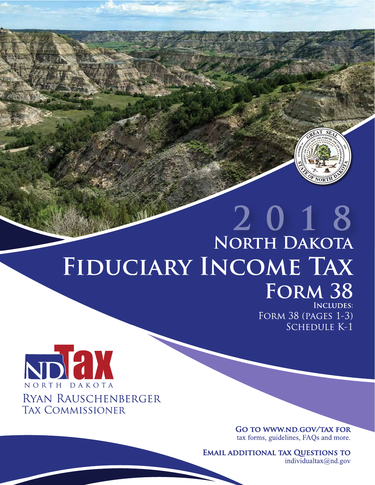

# 2018 NORTH DAKOTA FIDUCIARY INCOME TAX FORM 38

**INCLUDES: FORM 38 (PAGES 1-3) SCHEDULE K-1** 



**GO TO WWW.ND.GOV/TAX FOR** tax forms, guidelines, FAQs and more.

**EMAIL ADDITIONAL TAX QUESTIONS TO** 

individualtax $(\partial)$ nd.gov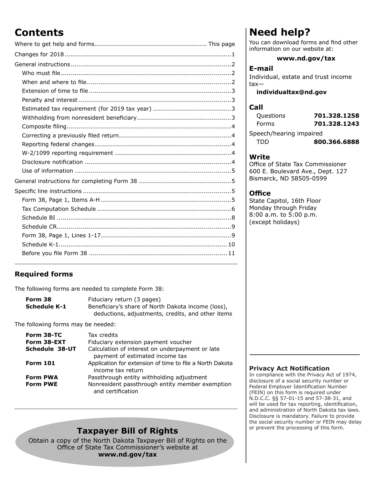### **Contents**

#### **Required forms**

The following forms are needed to complete Form 38:

| Form 38      | Fiduciary return (3 pages)                         |
|--------------|----------------------------------------------------|
| Schedule K-1 | Beneficiary's share of North Dakota income (loss), |
|              | deductions, adjustments, credits, and other items  |

The following forms may be needed:

| Form 38-TC<br>Form 38-EXT<br>Schedule 38-UT | Tax credits<br>Fiduciary extension payment voucher<br>Calculation of interest on underpayment or late<br>payment of estimated income tax |
|---------------------------------------------|------------------------------------------------------------------------------------------------------------------------------------------|
| <b>Form 101</b><br><b>Form PWA</b>          | Application for extension of time to file a North Dakota<br>income tax return<br>Passthrough entity withholding adjustment               |
| <b>Form PWE</b>                             | Nonresident passthrough entity member exemption<br>and certification                                                                     |

### **Taxpayer Bill of Rights**

Obtain a copy of the North Dakota Taxpayer Bill of Rights on the Office of State Tax Commissioner's website at **www.nd.gov/tax**

### **Need help?**

You can download forms and find other information on our website at:

#### **www.nd.gov/tax**

#### **E-mail**

Individual, estate and trust income tax—

#### **individualtax@nd.gov**

#### **Call**

| Questions               | 701.328.1258 |  |
|-------------------------|--------------|--|
| Forms                   | 701.328.1243 |  |
| Speech/hearing impaired |              |  |
| TDD                     | 800.366.6888 |  |

#### **Write**

Office of State Tax Commissioner 600 E. Boulevard Ave., Dept. 127 Bismarck, ND 58505-0599

#### **Office**

State Capitol, 16th Floor Monday through Friday 8:00 a.m. to 5:00 p.m. (except holidays)

#### **Privacy Act Notification**

In compliance with the Privacy Act of 1974, disclosure of a social security number or Federal Employer Identification Number (FEIN) on this form is required under N.D.C.C. §§ 57-01-15 and 57-38-31, and will be used for tax reporting, identification, and administration of North Dakota tax laws. Disclosure is mandatory. Failure to provide the social security number or FEIN may delay or prevent the processing of this form.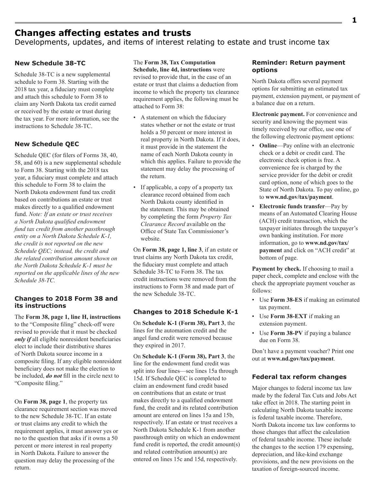### **Changes affecting estates and trusts**

Developments, updates, and items of interest relating to estate and trust income tax

#### **New Schedule 38-TC**

Schedule 38-TC is a new supplemental schedule to Form 38. Starting with the 2018 tax year, a fiduciary must complete and attach this schedule to Form 38 to claim any North Dakota tax credit earned or received by the estate or trust during the tax year. For more information, see the instructions to Schedule 38-TC.

#### **New Schedule QEC**

Schedule QEC (for filers of Forms 38, 40, 58, and 60) is a new supplemental schedule to Form 38. Starting with the 2018 tax year, a fiduciary must complete and attach this schedule to Form 38 to claim the North Dakota endowment fund tax credit based on contributions an estate or trust makes directly to a qualified endowment fund. *Note: If an estate or trust receives a North Dakota qualified endowment fund tax credit from another passthrough entity on a North Dakota Schedule K-1, the credit is not reported on the new Schedule QEC; instead, the credit and the related contribution amount shown on the North Dakota Schedule K-1 must be reported on the applicable lines of the new Schedule 38‑TC.*

#### **Changes to 2018 Form 38 and its instructions**

The **Form 38, page 1, line H, instructions** to the "Composite filing" check-off were revised to provide that it must be checked *only if* all eligible nonresident beneficiaries elect to include their distributive shares of North Dakota source income in a composite filing. If any eligible nonresident beneficiary does not make the election to be included, *do not* fill in the circle next to "Composite filing."

On **Form 38, page 1**, the property tax clearance requirement section was moved to the new Schedule 38-TC. If an estate or trust claims any credit to which the requirement applies, it must answer yes or no to the question that asks if it owns a 50 percent or more interest in real property in North Dakota. Failure to answer the question may delay the processing of the return.

The **Form 38, Tax Computation Schedule, line 4d, instructions** were revised to provide that, in the case of an estate or trust that claims a deduction from income to which the property tax clearance requirement applies, the following must be attached to Form 38:

- A statement on which the fiduciary states whether or not the estate or trust holds a 50 percent or more interest in real property in North Dakota. If it does, it must provide in the statement the name of each North Dakota county in which this applies. Failure to provide the statement may delay the processing of the return.
- If applicable, a copy of a property tax clearance record obtained from each North Dakota county identified in the statement. This may be obtained by completing the form *Property Tax Clearance Record* available on the Office of State Tax Commissioner's website.

On **Form 38, page 1, line 3**, if an estate or trust claims any North Dakota tax credit, the fiduciary must complete and attach Schedule 38-TC to Form 38. The tax credit instructions were removed from the instructions to Form 38 and made part of the new Schedule 38-TC.

#### **Changes to 2018 Schedule K-1**

On **Schedule K-1 (Form 38), Part 3**, the lines for the automation credit and the angel fund credit were removed because they expired in 2017.

On **Schedule K-1 (Form 38), Part 3**, the line for the endowment fund credit was split into four lines—see lines 15a through 15d. If Schedule QEC is completed to claim an endowment fund credit based on contributions that an estate or trust makes directly to a qualified endowment fund, the credit and its related contribution amount are entered on lines 15a and 15b, respectively. If an estate or trust receives a North Dakota Schedule K-1 from another passthrough entity on which an endowment fund credit is reported, the credit amount(s) and related contribution amount(s) are entered on lines 15c and 15d, respectively.

#### **Reminder: Return payment options**

North Dakota offers several payment options for submitting an estimated tax payment, extension payment, or payment of a balance due on a return.

**Electronic payment.** For convenience and security and knowing the payment was timely received by our office, use one of the following electronic payment options:

- **Online**—Pay online with an electronic check or a debit or credit card. The electronic check option is free. A convenience fee is charged by the service provider for the debit or credit card option, none of which goes to the State of North Dakota. To pay online, go to **www.nd.gov/tax/payment**.
- **Electronic funds transfer**—Pay by means of an Automated Clearing House (ACH) credit transaction, which the taxpayer initiates through the taxpayer's own banking institution. For more information, go to **www.nd.gov/tax/ payment** and click on "ACH credit" at bottom of page.

**Payment by check.** If choosing to mail a paper check, complete and enclose with the check the appropriate payment voucher as follows:

- Use **Form 38-ES** if making an estimated tax payment.
- Use **Form 38-EXT** if making an extension payment.
- Use **Form 38-PV** if paying a balance due on Form 38.

Don't have a payment voucher? Print one out at **www.nd.gov/tax/payment**.

#### **Federal tax reform changes**

Major changes to federal income tax law made by the federal Tax Cuts and Jobs Act take effect in 2018. The starting point in calculating North Dakota taxable income is federal taxable income. Therefore, North Dakota income tax law conforms to those changes that affect the calculation of federal taxable income. These include the changes to the section 179 expensing, depreciation, and like-kind exchange provisions, and the new provisions on the taxation of foreign-sourced income.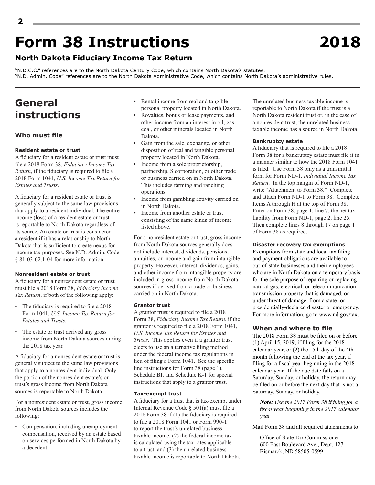## **Form 38 Instructions 2018**

### **North Dakota Fiduciary Income Tax Return**

"N.D.C.C." references are to the North Dakota Century Code, which contains North Dakota's statutes. "N.D. Admin. Code" references are to the North Dakota Administrative Code, which contains North Dakota's administrative rules.

### **General instructions**

#### **Who must file**

#### **Resident estate or trust**

A fiduciary for a resident estate or trust must file a 2018 Form 38, *Fiduciary Income Tax Return*, if the fiduciary is required to file a 2018 Form 1041, *U.S. Income Tax Return for Estates and Trusts*.

A fiduciary for a resident estate or trust is generally subject to the same law provisions that apply to a resident individual. The entire income (loss) of a resident estate or trust is reportable to North Dakota regardless of its source. An estate or trust is considered a resident if it has a relationship to North Dakota that is sufficient to create nexus for income tax purposes. See N.D. Admin. Code § 81-03-02.1-04 for more information.

#### **Nonresident estate or trust**

A fiduciary for a nonresident estate or trust must file a 2018 Form 38, *Fiduciary Income Tax Return*, if both of the following apply:

- The fiduciary is required to file a 2018 Form 1041, *U.S. Income Tax Return for Estates and Trusts*.
- The estate or trust derived any gross income from North Dakota sources during the 2018 tax year.

A fiduciary for a nonresident estate or trust is generally subject to the same law provisions that apply to a nonresident individual. Only the portion of the nonresident estate's or trust's gross income from North Dakota sources is reportable to North Dakota.

For a nonresident estate or trust, gross income from North Dakota sources includes the following:

• Compensation, including unemployment compensation, received by an estate based on services performed in North Dakota by a decedent.

- Rental income from real and tangible personal property located in North Dakota.
- Royalties, bonus or lease payments, and other income from an interest in oil, gas, coal, or other minerals located in North Dakota.
- Gain from the sale, exchange, or other disposition of real and tangible personal property located in North Dakota.
- Income from a sole proprietorship, partnership, S corporation, or other trade or business carried on in North Dakota. This includes farming and ranching operations.
- Income from gambling activity carried on in North Dakota.
- Income from another estate or trust consisting of the same kinds of income listed above.

For a nonresident estate or trust, gross income from North Dakota sources generally does not include interest, dividends, pensions, annuities, or income and gain from intangible property. However, interest, dividends, gains, and other income from intangible property are included in gross income from North Dakota sources if derived from a trade or business carried on in North Dakota.

#### **Grantor trust**

A grantor trust is required to file a 2018 Form 38, *Fiduciary Income Tax Return*, if the grantor is required to file a 2018 Form 1041, *U.S. Income Tax Return for Estates and Trusts*. This applies even if a grantor trust elects to use an alternative filing method under the federal income tax regulations in lieu of filing a Form 1041. See the specific line instructions for Form 38 (page 1), Schedule BI, and Schedule K-1 for special instructions that apply to a grantor trust.

#### **Tax-exempt trust**

A fiduciary for a trust that is tax-exempt under Internal Revenue Code § 501(a) must file a 2018 Form 38 if (1) the fiduciary is required to file a 2018 Form 1041 or Form 990-T to report the trust's unrelated business taxable income, (2) the federal income tax is calculated using the tax rates applicable to a trust, and (3) the unrelated business taxable income is reportable to North Dakota.

The unrelated business taxable income is reportable to North Dakota if the trust is a North Dakota resident trust or, in the case of a nonresident trust, the unrelated business taxable income has a source in North Dakota.

#### **Bankruptcy estate**

A fiduciary that is required to file a 2018 Form 38 for a bankruptcy estate must file it in a manner similar to how the 2018 Form 1041 is filed. Use Form 38 only as a transmittal form for Form ND-1, *Individual Income Tax Return*. In the top margin of Form ND-1, write "Attachment to Form 38." Complete and attach Form ND-1 to Form 38. Complete Items A through H at the top of Form 38. Enter on Form 38, page 1, line 7, the net tax liability from Form ND-1, page 2, line 25. Then complete lines 8 through 17 on page 1 of Form 38 as required.

#### **Disaster recovery tax exemptions**

Exemptions from state and local tax filing and payment obligations are available to out-of-state businesses and their employees who are in North Dakota on a temporary basis for the sole purpose of repairing or replacing natural gas, electrical, or telecommunication transmission property that is damaged, or under threat of damage, from a state- or presidentially-declared disaster or emergency. For more information, go to www.nd.gov/tax.

#### **When and where to file**

The 2018 Form 38 must be filed on or before (1) April 15, 2019, if filing for the 2018 calendar year, or (2) the 15th day of the 4th month following the end of the tax year, if filing for a fiscal year beginning in the 2018 calendar year. If the due date falls on a Saturday, Sunday, or holiday, the return may be filed on or before the next day that is not a Saturday, Sunday, or holiday.

*Note: Use the 2017 Form 38 if filing for a fiscal year beginning in the 2017 calendar year.*

Mail Form 38 and all required attachments to:

Office of State Tax Commissioner 600 East Boulevard Ave., Dept. 127 Bismarck, ND 58505-0599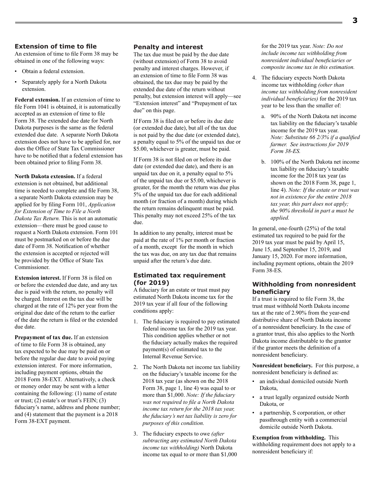An extension of time to file Form 38 may be obtained in one of the following ways:

- Obtain a federal extension.
- Separately apply for a North Dakota extension.

**Federal extension.** If an extension of time to file Form 1041 is obtained, it is automatically accepted as an extension of time to file Form 38. The extended due date for North Dakota purposes is the same as the federal extended due date. A separate North Dakota extension does not have to be applied for, nor does the Office of State Tax Commissioner have to be notified that a federal extension has been obtained prior to filing Form 38.

**North Dakota extension.** If a federal extension is not obtained, but additional time is needed to complete and file Form 38, a separate North Dakota extension may be applied for by filing Form 101, *Application for Extension of Time to File a North Dakota Tax Return.* This is not an automatic extension—there must be good cause to request a North Dakota extension. Form 101 must be postmarked on or before the due date of Form 38. Notification of whether the extension is accepted or rejected will be provided by the Office of State Tax Commissioner.

**Extension interest.** If Form 38 is filed on or before the extended due date, and any tax due is paid with the return, no penalty will be charged. Interest on the tax due will be charged at the rate of 12% per year from the original due date of the return to the earlier of the date the return is filed or the extended due date.

**Prepayment of tax due.** If an extension of time to file Form 38 is obtained, any tax expected to be due may be paid on or before the regular due date to avoid paying extension interest. For more information, including payment options, obtain the 2018 Form 38-EXT. Alternatively, a check or money order may be sent with a letter containing the following: (1) name of estate or trust; (2) estate's or trust's FEIN; (3) fiduciary's name, address and phone number; and (4) statement that the payment is a 2018 Form 38-EXT payment.

#### **Penalty and interest**

The tax due must be paid by the due date (without extension) of Form 38 to avoid penalty and interest charges. However, if an extension of time to file Form 38 was obtained, the tax due may be paid by the extended due date of the return without penalty, but extension interest will apply—see "Extension interest" and "Prepayment of tax due" on this page.

If Form 38 is filed on or before its due date (or extended due date), but all of the tax due is not paid by the due date (or extended date), a penalty equal to 5% of the unpaid tax due or \$5.00, whichever is greater, must be paid.

If Form 38 is not filed on or before its due date (or extended due date), and there is an unpaid tax due on it, a penalty equal to 5% of the unpaid tax due or \$5.00, whichever is greater, for the month the return was due plus 5% of the unpaid tax due for each additional month (or fraction of a month) during which the return remains delinquent must be paid. This penalty may not exceed 25% of the tax due.

In addition to any penalty, interest must be paid at the rate of 1% per month or fraction of a month, except for the month in which the tax was due, on any tax due that remains unpaid after the return's due date.

#### **Estimated tax requirement (for 2019)**

A fiduciary for an estate or trust must pay estimated North Dakota income tax for the 2019 tax year if all four of the following conditions apply:

- 1. The fiduciary is required to pay estimated federal income tax for the 2019 tax year. This condition applies whether or not the fiduciary actually makes the required payment(s) of estimated tax to the Internal Revenue Service.
- 2. The North Dakota net income tax liability on the fiduciary's taxable income for the 2018 tax year (as shown on the 2018 Form 38, page 1, line 4) was equal to or more than \$1,000. *Note: If the fiduciary was not required to file a North Dakota income tax return for the 2018 tax year, the fiduciary's net tax liability is zero for purposes of this condition.*
- 3. The fiduciary expects to owe *(after subtracting any estimated North Dakota income tax withholding)* North Dakota income tax equal to or more than \$1,000

for the 2019 tax year. *Note: Do not include income tax withholding from nonresident individual beneficiaries or composite income tax in this estimation.*

- 4. The fiduciary expects North Dakota income tax withholding *(other than income tax withholding from nonresident individual beneficiaries)* for the 2019 tax year to be less than the smaller of:
	- a. 90% of the North Dakota net income tax liability on the fiduciary's taxable income for the 2019 tax year. *Note: Substitute 66 2/3% if a qualified farmer. See instructions for 2019 Form 38-ES.*
	- b. 100% of the North Dakota net income tax liability on fiduciary's taxable income for the 2018 tax year (as shown on the 2018 Form 38, page 1, line 4). *Note: If the estate or trust was not in existence for the entire 2018 tax year, this part does not apply; the 90% threshold in part a must be applied.*

In general, one-fourth (25%) of the total estimated tax required to be paid for the 2019 tax year must be paid by April 15, June 15, and September 15, 2019, and January 15, 2020. For more information, including payment options, obtain the 2019 Form 38-ES.

#### **Withholding from nonresident beneficiary**

If a trust is required to file Form 38, the trust must withhold North Dakota income tax at the rate of 2.90% from the year-end distributive share of North Dakota income of a nonresident beneficiary. In the case of a grantor trust, this also applies to the North Dakota income distributable to the grantor if the grantor meets the definition of a nonresident beneficiary.

**Nonresident beneficiary.** For this purpose, a nonresident beneficiary is defined as:

- an individual domiciled outside North Dakota,
- a trust legally organized outside North Dakota, or
- a partnership, S corporation, or other passthrough entity with a commercial domicile outside North Dakota.

**Exemption from withholding.** This withholding requirement does not apply to a nonresident beneficiary if: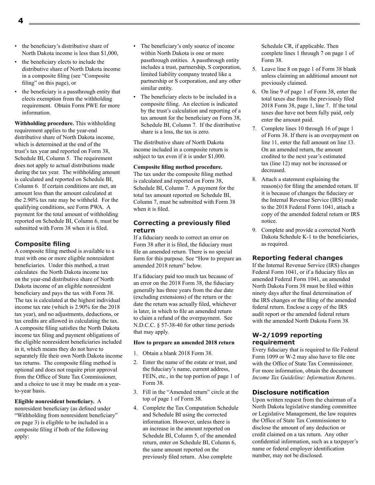- the beneficiary's distributive share of North Dakota income is less than \$1,000,
- the beneficiary elects to include the distributive share of North Dakota income in a composite filing (see "Composite filing" on this page), or
- the beneficiary is a passthrough entity that elects exemption from the withholding requirement. Obtain Form PWE for more information.

**Withholding procedure.** This withholding requirement applies to the year-end distributive share of North Dakota income, which is determined at the end of the trust's tax year and reported on Form 38, Schedule BI, Column 5. The requirement does not apply to actual distributions made during the tax year. The withholding amount is calculated and reported on Schedule BI, Column 6. If certain conditions are met, an amount less than the amount calculated at the 2.90% tax rate may be withheld. For the qualifying conditions, see Form PWA. A payment for the total amount of withholding reported on Schedule BI, Column 6, must be submitted with Form 38 when it is filed.

#### **Composite filing**

A composite filing method is available to a trust with one or more eligible nonresident beneficiaries. Under this method, a trust calculates the North Dakota income tax on the year-end distributive share of North Dakota income of an eligible nonresident beneficiary and pays the tax with Form 38. The tax is calculated at the highest individual income tax rate (which is 2.90% for the 2018 tax year), and no adjustments, deductions, or tax credits are allowed in calculating the tax. A composite filing satisfies the North Dakota income tax filing and payment obligations of the eligible nonresident beneficiaries included in it, which means they do not have to separately file their own North Dakota income tax returns. The composite filing method is optional and does not require prior approval from the Office of State Tax Commissioner, and a choice to use it may be made on a yearto-year basis.

**Eligible nonresident beneficiary.** A nonresident beneficiary (as defined under "Withholding from nonresident beneficiary" on page 3) is eligible to be included in a composite filing if both of the following apply:

- The beneficiary's only source of income within North Dakota is one or more passthrough entities. A passthrough entity includes a trust, partnership, S corporation, limited liability company treated like a partnership or S corporation, and any other similar entity.
- The beneficiary elects to be included in a composite filing. An election is indicated by the trust's calculation and reporting of a tax amount for the beneficiary on Form 38, Schedule BI, Column 7. If the distributive share is a loss, the tax is zero.

The distributive share of North Dakota income included in a composite return is subject to tax even if it is under \$1,000.

#### **Composite filing method procedure.**

The tax under the composite filing method is calculated and reported on Form 38, Schedule BI, Column 7. A payment for the total tax amount reported on Schedule BI, Column 7, must be submitted with Form 38 when it is filed.

#### **Correcting a previously filed return**

If a fiduciary needs to correct an error on Form 38 after it is filed, the fiduciary must file an amended return. There is no special form for this purpose. See "How to prepare an amended 2018 return" below.

If a fiduciary paid too much tax because of an error on the 2018 Form 38, the fiduciary generally has three years from the due date (excluding extensions) of the return or the date the return was actually filed, whichever is later, in which to file an amended return to claim a refund of the overpayment. See N.D.C.C. § 57-38-40 for other time periods that may apply.

#### **How to prepare an amended 2018 return**

- 1. Obtain a blank 2018 Form 38.
- 2. Enter the name of the estate or trust, and the fiduciary's name, current address, FEIN, etc., in the top portion of page 1 of Form 38.
- 3. Fill in the "Amended return" circle at the top of page 1 of Form 38.
- 4. Complete the Tax Computation Schedule and Schedule BI using the corrected information. However, unless there is an increase in the amount reported on Schedule BI, Column 5, of the amended return, enter on Schedule BI, Column 6, the same amount reported on the previously filed return. Also complete

Schedule CR, if applicable. Then complete lines 1 through 7 on page 1 of Form 38.

- 5. Leave line 8 on page 1 of Form 38 blank unless claiming an additional amount not previously claimed.
- 6. On line 9 of page 1 of Form 38, enter the total taxes due from the previously filed 2018 Form 38, page 1, line 7. If the total taxes due have not been fully paid, only enter the amount paid.
- 7. Complete lines 10 through 16 of page 1 of Form 38. If there is an overpayment on line 11, enter the full amount on line 13. On an amended return, the amount credited to the next year's estimated tax (line 12) may not be increased or decreased.
- 8. Attach a statement explaining the reason(s) for filing the amended return. If it is because of changes the fiduciary or the Internal Revenue Service (IRS) made to the 2018 Federal Form 1041, attach a copy of the amended federal return or IRS notice.
- 9. Complete and provide a corrected North Dakota Schedule K-1 to the beneficiaries, as required.

#### **Reporting federal changes**

If the Internal Revenue Service (IRS) changes Federal Form 1041, or if a fiduciary files an amended Federal Form 1041, an amended North Dakota Form 38 must be filed within ninety days after the final determination of the IRS changes or the filing of the amended federal return. Enclose a copy of the IRS audit report or the amended federal return with the amended North Dakota Form 38.

#### **W-2/1099 reporting requirement**

Every fiduciary that is required to file Federal Form 1099 or W-2 may also have to file one with the Office of State Tax Commissioner. For more information, obtain the document *Income Tax Guideline: Information Returns*.

#### **Disclosure notification**

Upon written request from the chairman of a North Dakota legislative standing committee or Legislative Management, the law requires the Office of State Tax Commissioner to disclose the amount of any deduction or credit claimed on a tax return. Any other confidential information, such as a taxpayer's name or federal employer identification number, may not be disclosed.

**4**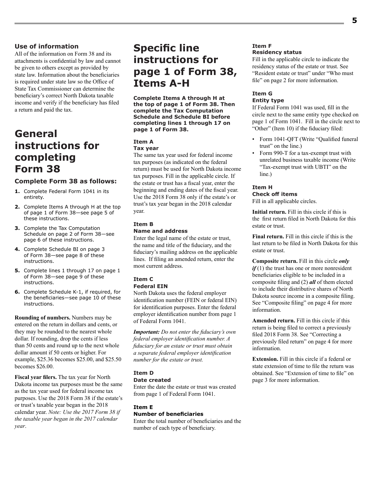#### **Use of information**

All of the information on Form 38 and its attachments is confidential by law and cannot be given to others except as provided by state law. Information about the beneficiaries is required under state law so the Office of State Tax Commissioner can determine the beneficiary's correct North Dakota taxable income and verify if the beneficiary has filed a return and paid the tax.

### **General instructions for completing Form 38**

#### **Complete Form 38 as follows:**

- **1.** Complete Federal Form 1041 in its entirety.
- **2.** Complete Items A through H at the top of page 1 of Form 38—see page 5 of these instructions.
- **3.** Complete the Tax Computation Schedule on page 2 of Form 38—see page 6 of these instructions.
- **4.** Complete Schedule BI on page 3 of Form 38—see page 8 of these instructions.
- **5.** Complete lines 1 through 17 on page 1 of Form 38—see page 9 of these instructions.
- **6.** Complete Schedule K-1, if required, for the beneficiaries—see page 10 of these instructions.

**Rounding of numbers.** Numbers may be entered on the return in dollars and cents, or they may be rounded to the nearest whole dollar. If rounding, drop the cents if less than 50 cents and round up to the next whole dollar amount if 50 cents or higher. For example, \$25.36 becomes \$25.00, and \$25.50 becomes \$26.00.

**Fiscal year filers.** The tax year for North Dakota income tax purposes must be the same as the tax year used for federal income tax purposes. Use the 2018 Form 38 if the estate's or trust's taxable year began in the 2018 calendar year. *Note: Use the 2017 Form 38 if the taxable year began in the 2017 calendar year*.

### **Specific line instructions for page 1 of Form 38, Items A-H**

**Complete Items A through H at the top of page 1 of Form 38. Then complete the Tax Computation Schedule and Schedule BI before completing lines 1 through 17 on page 1 of Form 38.** 

#### **Item A Tax year**

The same tax year used for federal income tax purposes (as indicated on the federal return) must be used for North Dakota income tax purposes. Fill in the applicable circle. If the estate or trust has a fiscal year, enter the beginning and ending dates of the fiscal year. Use the 2018 Form 38 only if the estate's or trust's tax year began in the 2018 calendar year.

#### **Item B**

#### **Name and address**

Enter the legal name of the estate or trust, the name and title of the fiduciary, and the fiduciary's mailing address on the applicable lines. If filing an amended return, enter the most current address.

### **Item C**

### **Federal EIN**

North Dakota uses the federal employer identification number (FEIN or federal EIN) for identification purposes. Enter the federal employer identification number from page 1 of Federal Form 1041.

*Important: Do not enter the fiduciary's own federal employer identification number. A fiduciary for an estate or trust must obtain a separate federal employer identification number for the estate or trust.*

#### **Item D**

#### **Date created**

Enter the date the estate or trust was created from page 1 of Federal Form 1041.

#### **Item E**

#### **Number of beneficiaries**

Enter the total number of beneficiaries and the number of each type of beneficiary.

#### **Item F Residency status**

Fill in the applicable circle to indicate the residency status of the estate or trust. See "Resident estate or trust" under "Who must file" on page 2 for more information.

#### **Item G Entity type**

If Federal Form 1041 was used, fill in the circle next to the same entity type checked on page 1 of Form 1041. Fill in the circle next to "Other" (Item 10) if the fiduciary filed:

- Form 1041-QFT (Write "Qualified funeral trust" on the line.)
- Form 990-T for a tax-exempt trust with unrelated business taxable income (Write "Tax-exempt trust with UBTI" on the line.)

#### **Item H**

#### **Check off items** Fill in all applicable circles.

**Initial return.** Fill in this circle if this is the first return filed in North Dakota for this estate or trust.

**Final return.** Fill in this circle if this is the last return to be filed in North Dakota for this estate or trust.

**Composite return.** Fill in this circle *only if* (1) the trust has one or more nonresident beneficiaries eligible to be included in a composite filing and (2) *all* of them elected to include their distributive shares of North Dakota source income in a composite filing. See "Composite filing" on page 4 for more information.

**Amended return.** Fill in this circle if this return is being filed to correct a previously filed 2018 Form 38. See "Correcting a previously filed return" on page 4 for more information.

**Extension.** Fill in this circle if a federal or state extension of time to file the return was obtained. See "Extension of time to file" on page 3 for more information.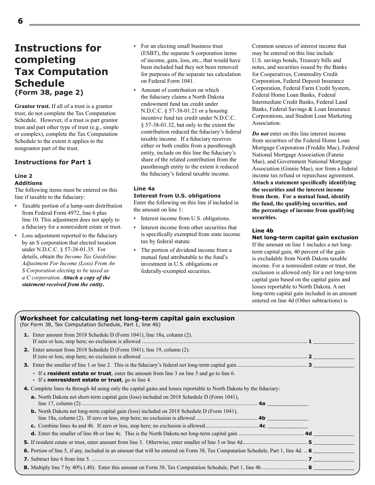### **Instructions for completing Tax Computation Schedule (Form 38, page 2)**

**Grantor trust.** If all of a trust is a grantor trust, do not complete the Tax Computation Schedule. However, if a trust is part grantor trust and part other type of trust (e.g., simple or complex), complete the Tax Computation Schedule to the extent it applies to the nongrantor part of the trust.

#### **Instructions for Part 1**

#### **Line 2 Additions**

The following items must be entered on this line if taxable to the fiduciary:

- Taxable portion of a lump-sum distribution from Federal Form 4972, line 6 plus line 10. This adjustment does not apply to a fiduciary for a nonresident estate or trust.
- Loss adjustment reported to the fiduciary by an S corporation that elected taxation under N.D.C.C. § 57-38-01.35. For details, obtain the *Income Tax Guideline: Adjustment For Income (Loss) From An S Corporation electing to be taxed as a C corporation. Attach a copy of the statement received from the entity***.**
- For an electing small business trust (ESBT), the separate S corporation items of income, gain, loss, etc., that would have been included had they not been removed for purposes of the separate tax calculation on Federal Form 1041.
- Amount of contribution on which the fiduciary claims a North Dakota endowment fund tax credit under N.D.C.C. § 57-38-01.21 or a housing incentive fund tax credit under N.D.C.C. § 57-38-01.32, but only to the extent the contribution reduced the fiduciary's federal taxable income. If a fiduciary receives either or both credits from a passthrough entity, include on this line the fiduciary's share of the related contribution from the passthrough entity to the extent it reduced the fiduciary's federal taxable income.

#### **Line 4a**

#### **Interest from U.S. obligations**

Enter the following on this line if included in the amount on line 1:

- Interest income from U.S. obligations.
- Interest income from other securities that is specifically exempted from state income tax by federal statute.
- The portion of dividend income from a mutual fund attributable to the fund's investment in U.S. obligations or federally-exempted securities.

Common sources of interest income that may be entered on this line include U.S. savings bonds, Treasury bills and notes, and securities issued by the Banks for Cooperatives, Commodity Credit Corporation, Federal Deposit Insurance Corporation, Federal Farm Credit System, Federal Home Loan Banks, Federal Intermediate Credit Banks, Federal Land Banks, Federal Savings & Loan Insurance Corporations, and Student Loan Marketing Association.

*Do not* enter on this line interest income from securities of the Federal Home Loan Mortgage Corporation (Freddie Mac), Federal National Mortgage Association (Fannie Mae), and Government National Mortgage Association (Ginnie Mae), nor from a federal income tax refund or repurchase agreement. **Attach a statement specifically identifying the securities and the interest income from them. For a mutual fund, identify the fund, the qualifying securities, and the percentage of income from qualifying securities.**

#### **Line 4b**

#### **Net long-term capital gain exclusion**

If the amount on line 1 includes a net longterm capital gain, 40 percent of the gain is excludable from North Dakota taxable income. For a nonresident estate or trust, the exclusion is allowed only for a net long-term capital gain based on the capital gains and losses reportable to North Dakota. A net long-term capital gain included in an amount entered on line 4d (Other subtractions) is

| Worksheet for calculating net long-term capital gain exclusion<br>(for Form 38, Tax Computation Schedule, Part 1, line 4b)                                         |  |
|--------------------------------------------------------------------------------------------------------------------------------------------------------------------|--|
| <b>1.</b> Enter amount from 2018 Schedule D (Form 1041), line 18a, column (2).                                                                                     |  |
| <b>2.</b> Enter amount from 2018 Schedule D (Form 1041), line 19, column (2).                                                                                      |  |
|                                                                                                                                                                    |  |
| If a <b>resident estate or trust</b> , enter the amount from line 3 on line 5 and go to line 6.<br>$\cdot$ If a <b>nonresident estate or trust</b> , go to line 4. |  |
| <b>4.</b> Complete lines 4a through 4d using only the capital gains and losses reportable to North Dakota by the fiduciary:                                        |  |
| <b>a.</b> North Dakota net short-term capital gain (loss) included on 2018 Schedule D (Form 1041),                                                                 |  |
| <b>b.</b> North Dakota net long-term capital gain (loss) included on 2018 Schedule D (Form 1041),                                                                  |  |
|                                                                                                                                                                    |  |
|                                                                                                                                                                    |  |
|                                                                                                                                                                    |  |
| 6. Portion of line 5, if any, included in an amount that will be entered on Form 38, Tax Computation Schedule, Part 1, line 4d. 6                                  |  |
|                                                                                                                                                                    |  |
|                                                                                                                                                                    |  |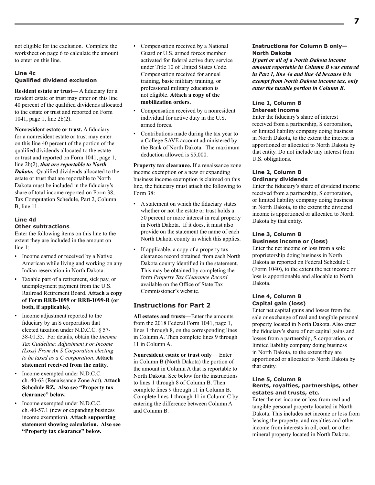not eligible for the exclusion. Complete the worksheet on page 6 to calculate the amount to enter on this line.

#### **Line 4c Qualified dividend exclusion**

**Resident estate or trust—** A fiduciary for a resident estate or trust may enter on this line 40 percent of the qualified dividends allocated to the estate or trust and reported on Form 1041, page 1, line 2b(2).

**Nonresident estate or trust.** A fiduciary for a nonresident estate or trust may enter on this line 40 percent of the portion of the qualified dividends allocated to the estate or trust and reported on Form 1041, page 1, line 2b(2), *that are reportable to North Dakota.* Qualified dividends allocated to the estate or trust that are reportable to North Dakota must be included in the fiduciary's share of total income reported on Form 38, Tax Computation Schedule, Part 2, Column B, line 11.

#### **Line 4d Other subtractions**

Enter the following items on this line to the extent they are included in the amount on line 1:

- Income earned or received by a Native American while living and working on any Indian reservation in North Dakota.
- Taxable part of a retirement, sick pay, or unemployment payment from the U.S. Railroad Retirement Board. **Attach a copy of Form RRB-1099 or RRB-1099-R (or both, if applicable).**
- Income adjustment reported to the fiduciary by an S corporation that elected taxation under N.D.C.C. § 57- 38-01.35. For details, obtain the *Income Tax Guideline: Adjustment For Income (Loss) From An S Corporation electing to be taxed as a C corporation*. **Attach statement received from the entity.**
- Income exempted under N.D.C.C. ch. 40‑63 (Renaissance Zone Act). **Attach Schedule RZ. Also see "Property tax clearance" below.**
- Income exempted under N.D.C.C. ch. 40‑57.1 (new or expanding business income exemption). **Attach supporting statement showing calculation. Also see "Property tax clearance" below.**
- Compensation received by a National Guard or U.S. armed forces member activated for federal active duty service under Title 10 of United States Code. Compensation received for annual training, basic military training, or professional military education is not eligible. **Attach a copy of the mobilization orders.**
- Compensation received by a nonresident individual for active duty in the U.S. armed forces.
- Contributions made during the tax year to a College SAVE account administered by the Bank of North Dakota. The maximum deduction allowed is \$5,000.

**Property tax clearance.** If a renaissance zone income exemption or a new or expanding business income exemption is claimed on this line, the fiduciary must attach the following to Form 38:

- A statement on which the fiduciary states whether or not the estate or trust holds a 50 percent or more interest in real property in North Dakota. If it does, it must also provide on the statement the name of each North Dakota county in which this applies.
- If applicable, a copy of a property tax clearance record obtained from each North Dakota county identified in the statement. This may be obtained by completing the form *Property Tax Clearance Record*  available on the Office of State Tax Commissioner's website.

#### **Instructions for Part 2**

**All estates and trusts**—Enter the amounts from the 2018 Federal Form 1041, page 1, lines 1 through 8, on the corresponding lines in Column A. Then complete lines 9 through 11 in Column A.

**Nonresident estate or trust only**— Enter in Column B (North Dakota) the portion of the amount in Column A that is reportable to North Dakota. See below for the instructions to lines 1 through 8 of Column B. Then complete lines 9 through 11 in Column B. Complete lines 1 through 11 in Column C by entering the difference between Column A and Column B.

#### **Instructions for Column B only— North Dakota**

*If part or all of a North Dakota income amount reportable in Column B was entered in Part 1, line 4a and line 4d because it is exempt from North Dakota income tax, only enter the taxable portion in Column B.*

#### **Line 1, Column B Interest income**

Enter the fiduciary's share of interest received from a partnership, S corporation, or limited liability company doing business in North Dakota, to the extent the interest is apportioned or allocated to North Dakota by that entity. Do not include any interest from U.S. obligations.

#### **Line 2, Column B Ordinary dividends**

Enter the fiduciary's share of dividend income received from a partnership, S corporation, or limited liability company doing business in North Dakota, to the extent the dividend income is apportioned or allocated to North Dakota by that entity.

#### **Line 3, Column B Business income or (loss)**

Enter the net income or loss from a sole proprietorship doing business in North Dakota as reported on Federal Schedule C (Form 1040), to the extent the net income or loss is apportionable and allocable to North Dakota.

#### **Line 4, Column B Capital gain (loss)**

Enter net capital gains and losses from the sale or exchange of real and tangible personal property located in North Dakota. Also enter the fiduciary's share of net capital gains and losses from a partnership, S corporation, or limited liability company doing business in North Dakota, to the extent they are apportioned or allocated to North Dakota by that entity.

#### **Line 5, Column B Rents, royalties, partnerships, other estates and trusts, etc.**

Enter the net income or loss from real and tangible personal property located in North Dakota. This includes net income or loss from leasing the property, and royalties and other income from interests in oil, coal, or other mineral property located in North Dakota.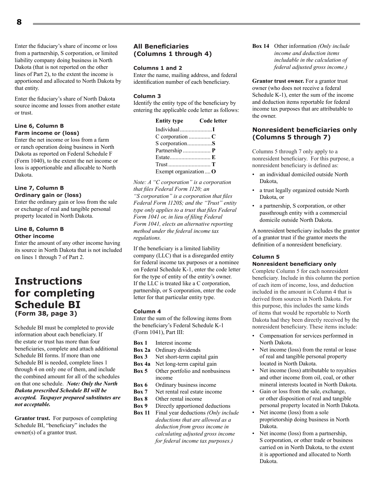Enter the fiduciary's share of income or loss from a partnership, S corporation, or limited liability company doing business in North Dakota (that is not reported on the other lines of Part 2), to the extent the income is apportioned and allocated to North Dakota by that entity.

Enter the fiduciary's share of North Dakota source income and losses from another estate or trust.

#### **Line 6, Column B Farm income or (loss)**

Enter the net income or loss from a farm or ranch operation doing business in North Dakota as reported on Federal Schedule F (Form 1040), to the extent the net income or loss is apportionable and allocable to North Dakota.

#### **Line 7, Column B Ordinary gain or (loss)**

Enter the ordinary gain or loss from the sale or exchange of real and tangible personal property located in North Dakota.

#### **Line 8, Column B Other income**

Enter the amount of any other income having its source in North Dakota that is not included on lines 1 through 7 of Part 2.

### **Instructions for completing Schedule BI (Form 38, page 3)**

Schedule BI must be completed to provide information about each beneficiary. If the estate or trust has more than four beneficiaries, complete and attach additional Schedule BI forms. If more than one Schedule BI is needed, complete lines 1 through 4 on only one of them, and include the combined amount for all of the schedules on that one schedule. *Note: Only the North Dakota prescribed Schedule BI will be accepted. Taxpayer prepared substitutes are not acceptable.*

**Grantor trust.** For purposes of completing Schedule BI, "beneficiary" includes the owner(s) of a grantor trust.

#### **All Beneficiaries (Columns 1 through 4)**

#### **Columns 1 and 2**

Enter the name, mailing address, and federal identification number of each beneficiary.

#### **Column 3**

Identify the entity type of the beneficiary by entering the applicable code letter as follows:

| <b>Entity type</b>    | <b>Code letter</b> |
|-----------------------|--------------------|
|                       |                    |
| $C$ corporation $C$   |                    |
| S corporationS        |                    |
| Partnership  P        |                    |
|                       |                    |
|                       |                    |
| Exempt organization O |                    |

*Note: A "C corporation" is a corporation that files Federal Form 1120; an "S corporation" is a corporation that files Federal Form 1120S; and the "Trust" entity type only applies to a trust that files Federal Form 1041 or, in lieu of filing Federal Form 1041, elects an alternative reporting method under the federal income tax regulations.*

If the beneficiary is a limited liability company (LLC) that is a disregarded entity for federal income tax purposes or a nominee on Federal Schedule K-1, enter the code letter for the type of entity of the entity's owner. If the LLC is treated like a C corporation, partnership, or S corporation, enter the code letter for that particular entity type.

#### **Column 4**

Enter the sum of the following items from the beneficiary's Federal Schedule K-1 (Form 1041), Part III:

- **Box 1** Interest income
- **Box 2a** Ordinary dividends<br>**Box 3** Net short-term capit
- Net short-term capital gain
- **Box 4a** Net long-term capital gain
- **Box 5** Other portfolio and nonbusiness income
- **Box 6** Ordinary business income **Box 7** Net rental real estate incom
- Net rental real estate income
- **Box 8** Other rental income
- **Box 9** Directly apportioned deductions
- **Box 11** Final year deductions *(Only include deductions that are allowed as a deduction from gross income in calculating adjusted gross income for federal income tax purposes.)*

**Box 14** Other information *(Only include income and deduction items includable in the calculation of federal adjusted gross income.)*

**Grantor trust owner.** For a grantor trust owner (who does not receive a federal Schedule K-1), enter the sum of the income and deduction items reportable for federal income tax purposes that are attributable to the owner.

#### **Nonresident beneficiaries only (Columns 5 through 7)**

Columns 5 through 7 only apply to a nonresident beneficiary. For this purpose, a nonresident beneficiary is defined as:

- an individual domiciled outside North Dakota,
- a trust legally organized outside North Dakota, or
- a partnership, S corporation, or other passthrough entity with a commercial domicile outside North Dakota.

A nonresident beneficiary includes the grantor of a grantor trust if the grantor meets the definition of a nonresident beneficiary.

#### **Column 5**

#### **Nonresident beneficiary only**

Complete Column 5 for each nonresident beneficiary. Include in this column the portion of each item of income, loss, and deduction included in the amount in Column 4 that is derived from sources in North Dakota. For this purpose, this includes the same kinds of items that would be reportable to North Dakota had they been directly received by the nonresident beneficiary. These items include:

- Compensation for services performed in North Dakota.
- Net income (loss) from the rental or lease of real and tangible personal property located in North Dakota.
- Net income (loss) attributable to royalties and other income from oil, coal, or other mineral interests located in North Dakota.
- Gain or loss from the sale, exchange, or other disposition of real and tangible personal property located in North Dakota.
- Net income (loss) from a sole proprietorship doing business in North Dakota.
- Net income (loss) from a partnership, S corporation, or other trade or business carried on in North Dakota, to the extent it is apportioned and allocated to North Dakota.

**8**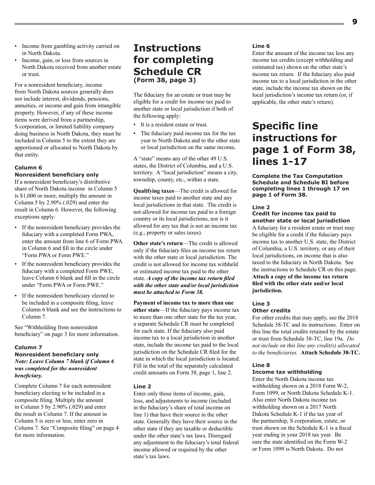- Income from gambling activity carried on in North Dakota.
- Income, gain, or loss from sources in North Dakota received from another estate or trust.

For a nonresident beneficiary, income from North Dakota sources generally does not include interest, dividends, pensions, annuities, or income and gain from intangible property. However, if any of these income items were derived from a partnership, S corporation, or limited liability company doing business in North Dakota, they must be included in Column 5 to the extent they are apportioned or allocated to North Dakota by that entity.

#### **Column 6**

#### **Nonresident beneficiary only**

If a nonresident beneficiary's distributive share of North Dakota income in Column 5 is \$1,000 or more, multiply the amount in Column 5 by 2.90% (.029) and enter the result in Column 6. However, the following exceptions apply:

- If the nonresident beneficiary provides the fiduciary with a completed Form PWA, enter the amount from line 6 of Form PWA in Column 6 and fill in the circle under "Form PWA or Form PWE."
- If the nonresident beneficiary provides the fiduciary with a completed Form PWE, leave Column 6 blank and fill in the circle under "Form PWA or Form PWE."
- If the nonresident beneficiary elected to be included in a composite filing, leave Column 6 blank and see the instructions to Column 7.

See "Withholding from nonresident beneficiary" on page 3 for more information.

#### **Column 7**

#### **Nonresident beneficiary only** *Note: Leave Column 7 blank if Column 6 was completed for the nonresident beneficiary.*

Complete Column 7 for each nonresident beneficiary electing to be included in a composite filing. Multiply the amount in Column 5 by 2.90% (.029) and enter the result in Column 7. If the amount in Column 5 is zero or less, enter zero in Column 7. See "Composite filing" on page 4 for more information.

### **Instructions for completing Schedule CR (Form 38, page 3)**

The fiduciary for an estate or trust may be eligible for a credit for income tax paid to another state or local jurisdiction if both of the following apply:

- It is a resident estate or trust.
- The fiduciary paid income tax for the tax year to North Dakota and to the other state or local jurisdiction on the same income*.*

A "state" means any of the other 49 U.S. states, the District of Columbia, and a U.S. territory. A "local jurisdiction" means a city, township, county, etc., within a state.

**Qualifying taxes**—The credit is allowed for income taxes paid to another state and any local jurisdictions in that state. The credit is not allowed for income tax paid to a foreign country or its local jurisdictions, nor is it allowed for any tax that is not an income tax (e.g., property or sales taxes).

**Other state's return**—The credit is allowed only if the fiduciary files an income tax return with the other state or local jurisdiction. The credit is not allowed for income tax withheld or estimated income tax paid to the other state. *A copy of the income tax return filed with the other state and/or local jurisdiction must be attached to Form 38.*

**Payment of income tax to more than one other state**—If the fiduciary pays income tax to more than one other state for the tax year, a separate Schedule CR must be completed for each state. If the fiduciary also paid income tax to a local jurisdiction in another state, include the income tax paid to the local jurisdiction on the Schedule CR filed for the state in which the local jurisdiction is located. Fill in the total of the separately calculated credit amounts on Form 38, page 1, line 2.

#### **Line 2**

Enter only those items of income, gain, loss, and adjustments to income (included in the fiduciary's share of total income on line 1) that have their source in the other state. Generally they have their source in the other state if they are taxable or deductible under the other state's tax laws. Disregard any adjustment to the fiduciary's total federal income allowed or required by the other state's tax laws.

#### **Line 6**

Enter the amount of the income tax less any income tax credits (except withholding and estimated tax) shown on the other state's income tax return. If the fiduciary also paid income tax to a local jurisdiction in the other state, include the income tax shown on the local jurisdiction's income tax return (or, if applicable, the other state's return).

### **Specific line instructions for page 1 of Form 38, lines 1-17**

**Complete the Tax Computation Schedule and Schedule BI before completing lines 1 through 17 on page 1 of Form 38.**

#### **Line 2**

#### **Credit for income tax paid to another state or local jurisdiction**

A fiduciary for a resident estate or trust may be eligible for a credit if the fiduciary pays income tax to another U.S. state, the District of Columbia, a U.S. territory, or any of their local jurisdictions, on income that is also taxed to the fiduciary in North Dakota. See the instructions to Schedule CR on this page. **Attach a copy of the income tax return filed with the other state and/or local jurisdiction.**

#### **Line 3**

#### **Other credits**

For other credits that may apply, see the 2018 Schedule 38-TC and its instructions. Enter on this line the total credits retained by the estate or trust from Schedule 38-TC, line 19a. *Do not include on this line any credit(s) allocated to the beneficiaries.* **Attach Schedule 38-TC.**

#### **Line 8**

#### **Income tax withholding**

Enter the North Dakota income tax withholding shown on a 2018 Form W-2, Form 1099, or North Dakota Schedule K-1. Also enter North Dakota income tax withholding shown on a 2017 North Dakota Schedule K-1 if the tax year of the partnership, S corporation, estate, or trust shown on the Schedule K-1 is a fiscal year ending in your 2018 tax year. Be sure the state identified on the Form W-2 or Form 1099 is North Dakota. Do not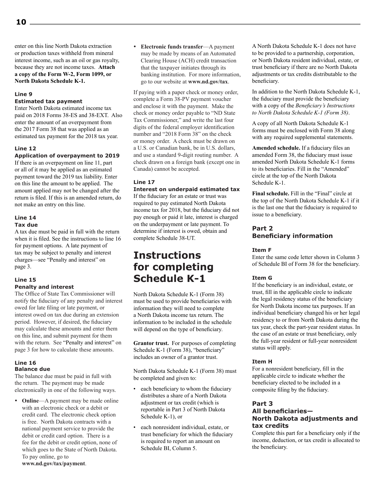enter on this line North Dakota extraction or production taxes withheld from mineral interest income, such as an oil or gas royalty, because they are not income taxes. **Attach a copy of the Form W-2, Form 1099, or North Dakota Schedule K-1.**

#### **Line 9**

#### **Estimated tax payment**

Enter North Dakota estimated income tax paid on 2018 Forms 38-ES and 38-EXT. Also enter the amount of an overpayment from the 2017 Form 38 that was applied as an estimated tax payment for the 2018 tax year.

#### **Line 12**

#### **Application of overpayment to 2019**

If there is an overpayment on line 11, part or all of it may be applied as an estimated payment toward the 2019 tax liability. Enter on this line the amount to be applied. The amount applied may not be changed after the return is filed. If this is an amended return, do not make an entry on this line.

#### **Line 14**

#### **Tax due**

A tax due must be paid in full with the return when it is filed. See the instructions to line 16 for payment options. A late payment of tax may be subject to penalty and interest charges—see "Penalty and interest" on page 3.

#### **Line 15 Penalty and interest**

The Office of State Tax Commissioner will notify the fiduciary of any penalty and interest owed for late filing or late payment, or interest owed on tax due during an extension period. However, if desired, the fiduciary may calculate these amounts and enter them on this line, and submit payment for them with the return. See "Penalty and interest" on page 3 for how to calculate these amounts.

#### **Line 16 Balance due**

The balance due must be paid in full with the return. The payment may be made electronically in one of the following ways.

• **Online**—A payment may be made online with an electronic check or a debit or credit card. The electronic check option is free. North Dakota contracts with a national payment service to provide the debit or credit card option. There is a fee for the debit or credit option, none of which goes to the State of North Dakota. To pay online, go to

 **Electronic funds transfer**—A payment may be made by means of an Automated Clearing House (ACH) credit transaction that the taxpayer initiates through its banking institution. For more information, go to our website at **www.nd.gov/tax**.

If paying with a paper check or money order, complete a Form 38-PV payment voucher and enclose it with the payment. Make the check or money order payable to "ND State Tax Commissioner," and write the last four digits of the federal employer identification number and "2018 Form 38" on the check or money order. A check must be drawn on a U.S. or Canadian bank, be in U.S. dollars, and use a standard 9-digit routing number. A check drawn on a foreign bank (except one in Canada) cannot be accepted.

#### **Line 17**

#### **Interest on underpaid estimated tax**

If the fiduciary for an estate or trust was required to pay estimated North Dakota income tax for 2018, but the fiduciary did not pay enough or paid it late, interest is charged on the underpayment or late payment. To determine if interest is owed, obtain and complete Schedule 38-UT.

### **Instructions for completing Schedule K-1**

North Dakota Schedule K-1 (Form 38) must be used to provide beneficiaries with information they will need to complete a North Dakota income tax return. The information to be included in the schedule will depend on the type of beneficiary.

**Grantor trust.** For purposes of completing Schedule K-1 (Form 38), "beneficiary" includes an owner of a grantor trust.

North Dakota Schedule K-1 (Form 38) must be completed and given to:

- each beneficiary to whom the fiduciary distributes a share of a North Dakota adjustment or tax credit (which is reportable in Part 3 of North Dakota Schedule K-1), or
- each nonresident individual, estate, or trust beneficiary for which the fiduciary is required to report an amount on Schedule BI, Column 5.

A North Dakota Schedule K-1 does not have to be provided to a partnership, corporation, or North Dakota resident individual, estate, or trust beneficiary if there are no North Dakota adjustments or tax credits distributable to the beneficiary.

In addition to the North Dakota Schedule K‑1, the fiduciary must provide the beneficiary with a copy of the *Beneficiary's Instructions to North Dakota Schedule K-1 (Form 38)*.

A copy of all North Dakota Schedule K-1 forms must be enclosed with Form 38 along with any required supplemental statements.

**Amended schedule.** If a fiduciary files an amended Form 38, the fiduciary must issue amended North Dakota Schedule K-1 forms to its beneficiaries. Fill in the "Amended" circle at the top of the North Dakota Schedule K-1.

**Final schedule.** Fill in the "Final" circle at the top of the North Dakota Schedule K-1 if it is the last one that the fiduciary is required to issue to a beneficiary.

#### **Part 2 Beneficiary information**

#### **Item F**

Enter the same code letter shown in Column 3 of Schedule BI of Form 38 for the beneficiary.

#### **Item G**

If the beneficiary is an individual, estate, or trust, fill in the applicable circle to indicate the legal residency status of the beneficiary for North Dakota income tax purposes. If an individual beneficiary changed his or her legal residency to or from North Dakota during the tax year, check the part-year resident status. In the case of an estate or trust beneficiary, only the full-year resident or full-year nonresident status will apply.

#### **Item H**

For a nonresident beneficiary, fill in the applicable circle to indicate whether the beneficiary elected to be included in a composite filing by the fiduciary.

#### **Part 3**

#### **All beneficiaries— North Dakota adjustments and tax credits**

Complete this part for a beneficiary only if the income, deduction, or tax credit is allocated to the beneficiary.

**www.nd.gov/tax/payment**.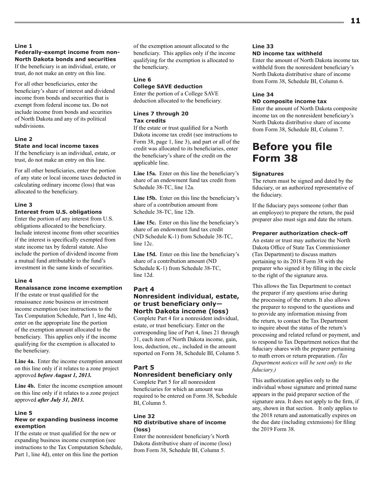#### **Line 1 Federally-exempt income from non-North Dakota bonds and securities**

If the beneficiary is an individual, estate, or trust, do not make an entry on this line.

For all other beneficiaries, enter the beneficiary's share of interest and dividend income from bonds and securities that is exempt from federal income tax. Do not include income from bonds and securities of North Dakota and any of its political subdivisions.

#### **Line 2**

#### **State and local income taxes**

If the beneficiary is an individual, estate, or trust, do not make an entry on this line.

For all other beneficiaries, enter the portion of any state or local income taxes deducted in calculating ordinary income (loss) that was allocated to the beneficiary.

#### **Line 3**

#### **Interest from U.S. obligations**

Enter the portion of any interest from U.S. obligations allocated to the beneficiary. Include interest income from other securities if the interest is specifically exempted from state income tax by federal statute. Also include the portion of dividend income from a mutual fund attributable to the fund's investment in the same kinds of securities.

#### **Line 4**

#### **Renaissance zone income exemption**

If the estate or trust qualified for the renaissance zone business or investment income exemption (see instructions to the Tax Computation Schedule, Part 1, line 4d), enter on the appropriate line the portion of the exemption amount allocated to the beneficiary. This applies only if the income qualifying for the exemption is allocated to the beneficiary.

**Line 4a.** Enter the income exemption amount on this line only if it relates to a zone project approved *before August 1, 2013.*

**Line 4b.** Enter the income exemption amount on this line only if it relates to a zone project approved *after July 31, 2013.*

#### **Line 5**

#### **New or expanding business income exemption**

If the estate or trust qualified for the new or expanding business income exemption (see instructions to the Tax Computation Schedule, Part 1, line 4d), enter on this line the portion

of the exemption amount allocated to the beneficiary. This applies only if the income qualifying for the exemption is allocated to the beneficiary.

#### **Line 6**

### **College SAVE deduction**

Enter the portion of a College SAVE deduction allocated to the beneficiary.

#### **Lines 7 through 20 Tax credits**

If the estate or trust qualified for a North Dakota income tax credit (see instructions to Form 38, page 1, line 3), and part or all of the credit was allocated to its beneficiaries, enter the beneficiary's share of the credit on the applicable line.

**Line 15a.** Enter on this line the beneficiary's share of an endowment fund tax credit from Schedule 38-TC, line 12a.

**Line 15b.** Enter on this line the beneficiary's share of a contribution amount from Schedule 38-TC, line 12b.

**Line 15c.** Enter on this line the beneficiary's share of an endowment fund tax credit (ND Schedule K-1) from Schedule 38-TC, line 12c.

**Line 15d.** Enter on this line the beneficiary's share of a contribution amount (ND Schedule K-1) from Schedule 38-TC, line 12d.

## **Part 4**

#### **Nonresident individual, estate, or trust beneficiary only— North Dakota income (loss)**

Complete Part 4 for a nonresident individual, estate, or trust beneficiary. Enter on the corresponding line of Part 4, lines 21 through 31, each item of North Dakota income, gain, loss, deduction, etc., included in the amount reported on Form 38, Schedule BI, Column 5.

#### **Part 5 Nonresident beneficiary only**

Complete Part 5 for all nonresident beneficiaries for which an amount was required to be entered on Form 38, Schedule BI, Column 5.

#### **Line 32 ND distributive share of income (loss)**

Enter the nonresident beneficiary's North Dakota distributive share of income (loss) from Form 38, Schedule BI, Column 5.

#### **Line 33 ND income tax withheld**

Enter the amount of North Dakota income tax withheld from the nonresident beneficiary's North Dakota distributive share of income from Form 38, Schedule BI, Column 6.

#### **Line 34**

#### **ND composite income tax**

Enter the amount of North Dakota composite income tax on the nonresident beneficiary's North Dakota distributive share of income from Form 38, Schedule BI, Column 7.

### **Before you file Form 38**

#### **Signatures**

The return must be signed and dated by the fiduciary, or an authorized representative of the fiduciary.

If the fiduciary pays someone (other than an employee) to prepare the return, the paid preparer also must sign and date the return.

#### **Preparer authorization check-off**

An estate or trust may authorize the North Dakota Office of State Tax Commissioner (Tax Department) to discuss matters pertaining to its 2018 Form 38 with the preparer who signed it by filling in the circle to the right of the signature area.

This allows the Tax Department to contact the preparer if any questions arise during the processing of the return. It also allows the preparer to respond to the questions and to provide any information missing from the return, to contact the Tax Department to inquire about the status of the return's processing and related refund or payment, and to respond to Tax Department notices that the fiduciary shares with the preparer pertaining to math errors or return preparation. *(Tax Department notices will be sent only to the fiduciary.)*

This authorization applies only to the individual whose signature and printed name appears in the paid preparer section of the signature area. It does not apply to the firm, if any, shown in that section. It only applies to the 2018 return and automatically expires on the due date (including extensions) for filing the 2019 Form 38.